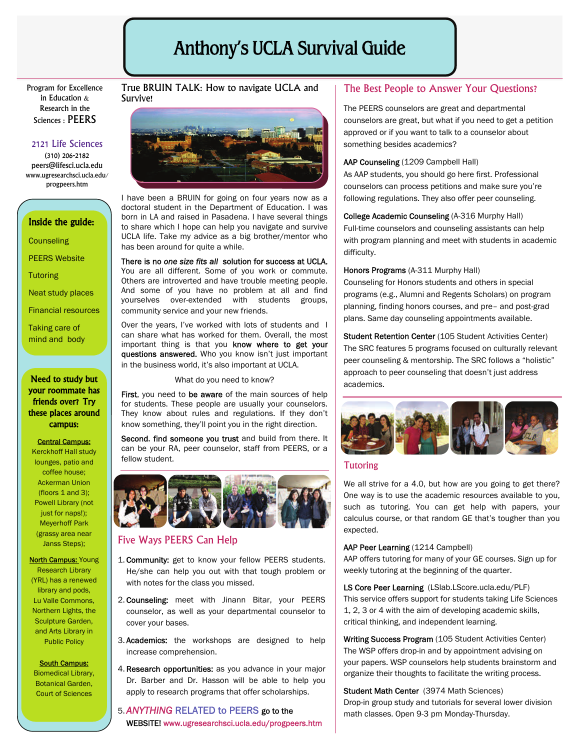# Anthony's UCLA Survival Guide

Program for Excellence in Education & Research in the Sciences : PEERS

### 2121 Life Sciences

(310) 206-2182 peers@lifesci.ucla.edu www.ugresearchsci.ucla.edu/ progpeers.htm

#### Inside the guide:

**Counseling** 

PEERS Website

**Tutoring** 

Neat study places

Financial resources

Taking care of mind and body

#### Need to study but **Need to study but and the study of the study of the September of the September of the September of the September of the September of the September of the September of the September of the September of th** your roommate has friends over? Try these places around campus:

#### Central Campus:

Kerckhoff Hall study lounges, patio and coffee house; Ackerman Union (floors 1 and 3); Powell Library (not just for naps!): Meyerhoff Park (grassy area near Janss Steps);

**North Campus: Young** Research Library (YRL) has a renewed library and pods, Lu Valle Commons, Northern Lights, the Sculpture Garden, and Arts Library in Public Policy

#### South Campus:

Biomedical Library, Botanical Garden, Court of Sciences

#### True BRUIN TALK: How to navigate UCLA and Survive!



I have been a BRUIN for going on four years now as a doctoral student in the Department of Education. I was born in LA and raised in Pasadena. I have several things to share which I hope can help you navigate and survive UCLA life. Take my advice as a big brother/mentor who has been around for quite a while.

#### There is no *one size fits all* solution for success at UCLA.

You are all different. Some of you work or commute. Others are introverted and have trouble meeting people. And some of you have no problem at all and find yourselves over-extended with students groups, community service and your new friends.

Over the years, I've worked with lots of students and I can share what has worked for them. Overall, the most important thing is that you know where to get your questions answered. Who you know isn't just important in the business world, it's also important at UCLA.

First, you need to be aware of the main sources of help for students. These people are usually your counselors. They know about rules and regulations. If they don't know something, they'll point you in the right direction.

Second, find someone you trust and build from there. It can be your RA, peer counselor, staff from PEERS, or a fellow student.



#### Five Ways PEERS Can Help

- 1. Community: get to know your fellow PEERS students. He/she can help you out with that tough problem or with notes for the class you missed.
- 2. Counseling: meet with Jinann Bitar, your PEERS counselor, as well as your departmental counselor to cover your bases.
- 3. Academics: the workshops are designed to help increase comprehension.

4. Research opportunities: as you advance in your major Dr. Barber and Dr. Hasson will be able to help you apply to research programs that offer scholarships.

### 5. *ANYTHING* RELATED to PEERS go to the WEBSITE! www.ugresearchsci.ucla.edu/progpeers.htm

### The Best People to Answer Your Questions?

The PEERS counselors are great and departmental counselors are great, but what if you need to get a petition approved or if you want to talk to a counselor about something besides academics?

#### AAP Counseling (1209 Campbell Hall)

As AAP students, you should go here first. Professional counselors can process petitions and make sure you're following regulations. They also offer peer counseling.

## College Academic Counseling (A-316 Murphy Hall)

Full-time counselors and counseling assistants can help with program planning and meet with students in academic difficulty.

#### Honors Programs (A-311 Murphy Hall)

Counseling for Honors students and others in special programs (e.g., Alumni and Regents Scholars) on program planning, finding honors courses, and pre– and post-grad plans. Same day counseling appointments available.

Student Retention Center (105 Student Activities Center) The SRC features 5 programs focused on culturally relevant peer counseling & mentorship. The SRC follows a "holistic" approach to peer counseling that doesn't just address



#### **Tutoring**

We all strive for a 4.0, but how are you going to get there? One way is to use the academic resources available to you, such as tutoring. You can get help with papers, your calculus course, or that random GE that's tougher than you expected.

#### AAP Peer Learning (1214 Campbell)

AAP offers tutoring for many of your GE courses. Sign up for weekly tutoring at the beginning of the quarter.

LS Core Peer Learning (LSlab.LScore.ucla.edu/PLF) This service offers support for students taking Life Sciences 1, 2, 3 or 4 with the aim of developing academic skills, critical thinking, and independent learning.

Writing Success Program (105 Student Activities Center) The WSP offers drop-in and by appointment advising on your papers. WSP counselors help students brainstorm and organize their thoughts to facilitate the writing process.

Student Math Center (3974 Math Sciences) Drop-in group study and tutorials for several lower division math classes. Open 9-3 pm Monday-Thursday.